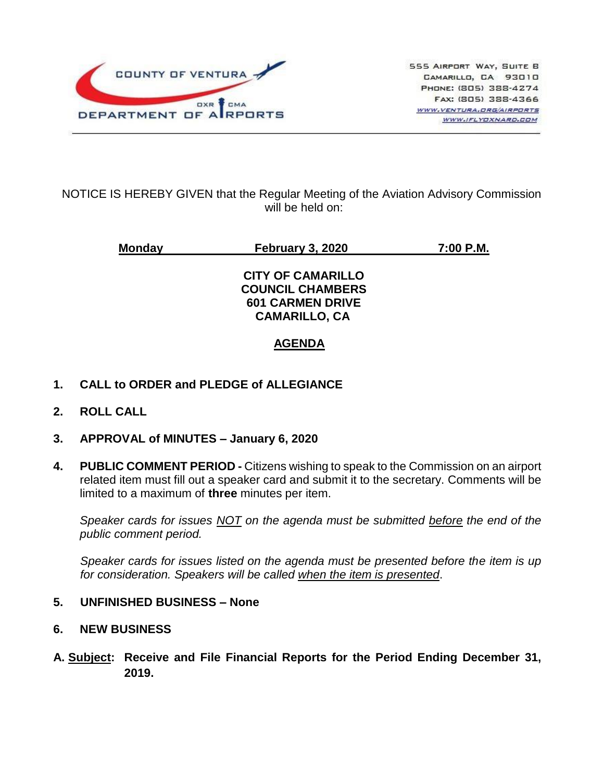

#### NOTICE IS HEREBY GIVEN that the Regular Meeting of the Aviation Advisory Commission will be held on:

**Monday February 3, 2020 7:00 P.M. CITY OF CAMARILLO COUNCIL CHAMBERS 601 CARMEN DRIVE CAMARILLO, CA AGENDA**

# **1. CALL to ORDER and PLEDGE of ALLEGIANCE**

- **2. ROLL CALL**
- **3. APPROVAL of MINUTES – January 6, 2020**
- **4. PUBLIC COMMENT PERIOD -** Citizens wishing to speak to the Commission on an airport related item must fill out a speaker card and submit it to the secretary. Comments will be limited to a maximum of **three** minutes per item.

*Speaker cards for issues NOT on the agenda must be submitted before the end of the public comment period.*

*Speaker cards for issues listed on the agenda must be presented before the item is up for consideration. Speakers will be called when the item is presented*.

#### **5. UNFINISHED BUSINESS – None**

- **6. NEW BUSINESS**
- **A. Subject: Receive and File Financial Reports for the Period Ending December 31, 2019.**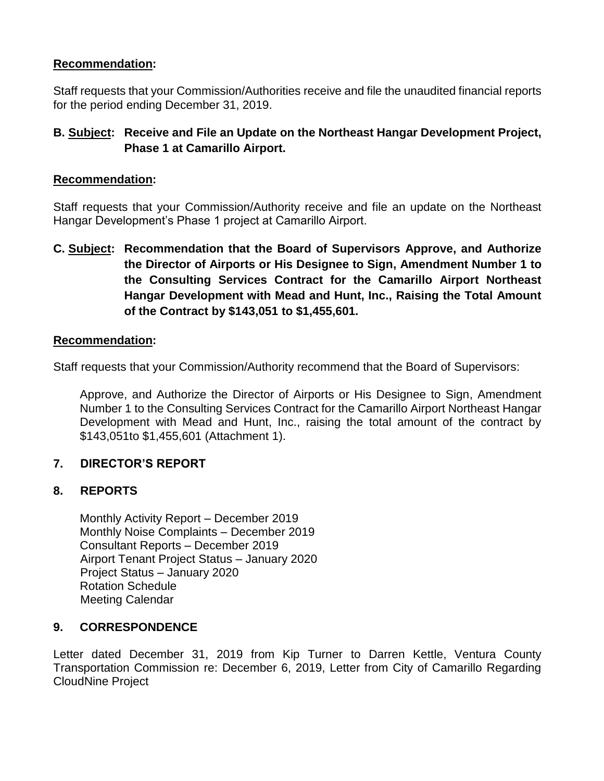## **Recommendation:**

Staff requests that your Commission/Authorities receive and file the unaudited financial reports for the period ending December 31, 2019.

# **B. Subject: Receive and File an Update on the Northeast Hangar Development Project, Phase 1 at Camarillo Airport.**

### **Recommendation:**

Staff requests that your Commission/Authority receive and file an update on the Northeast Hangar Development's Phase 1 project at Camarillo Airport.

**C. Subject: Recommendation that the Board of Supervisors Approve, and Authorize the Director of Airports or His Designee to Sign, Amendment Number 1 to the Consulting Services Contract for the Camarillo Airport Northeast Hangar Development with Mead and Hunt, Inc., Raising the Total Amount of the Contract by \$143,051 to \$1,455,601.**

### **Recommendation:**

Staff requests that your Commission/Authority recommend that the Board of Supervisors:

Approve, and Authorize the Director of Airports or His Designee to Sign, Amendment Number 1 to the Consulting Services Contract for the Camarillo Airport Northeast Hangar Development with Mead and Hunt, Inc., raising the total amount of the contract by \$143,051to \$1,455,601 (Attachment 1).

## **7. DIRECTOR'S REPORT**

## **8. REPORTS**

Monthly Activity Report – December 2019 Monthly Noise Complaints – December 2019 Consultant Reports – December 2019 Airport Tenant Project Status – January 2020 Project Status – January 2020 Rotation Schedule Meeting Calendar

## **9. CORRESPONDENCE**

Letter dated December 31, 2019 from Kip Turner to Darren Kettle, Ventura County Transportation Commission re: December 6, 2019, Letter from City of Camarillo Regarding CloudNine Project